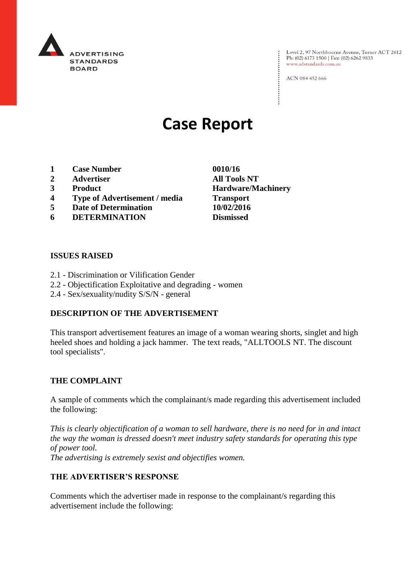

Level 2, 97 Northbourne Avenue, Turner ACT 2612<br>Ph: (02) 6173 1500 | Fax: (02) 6262 9833 www.adstandards.com.au

ACN 084 452 666

# **Case Report**

- **1 Case Number 0010/16**
- **2 Advertiser All Tools NT**
- 
- **4 Type of Advertisement / media Transport**
- **5 Date of Determination 10/02/2016**
- **6 DETERMINATION Dismissed**

#### **ISSUES RAISED**

- 2.1 Discrimination or Vilification Gender
- 2.2 Objectification Exploitative and degrading women
- 2.4 Sex/sexuality/nudity S/S/N general

#### **DESCRIPTION OF THE ADVERTISEMENT**

This transport advertisement features an image of a woman wearing shorts, singlet and high heeled shoes and holding a jack hammer. The text reads, "ALLTOOLS NT. The discount tool specialists".

#### **THE COMPLAINT**

A sample of comments which the complainant/s made regarding this advertisement included the following:

*This is clearly objectification of a woman to sell hardware, there is no need for in and intact the way the woman is dressed doesn't meet industry safety standards for operating this type of power tool. The advertising is extremely sexist and objectifies women.*

#### **THE ADVERTISER'S RESPONSE**

Comments which the advertiser made in response to the complainant/s regarding this advertisement include the following:

**3 Product Hardware/Machinery**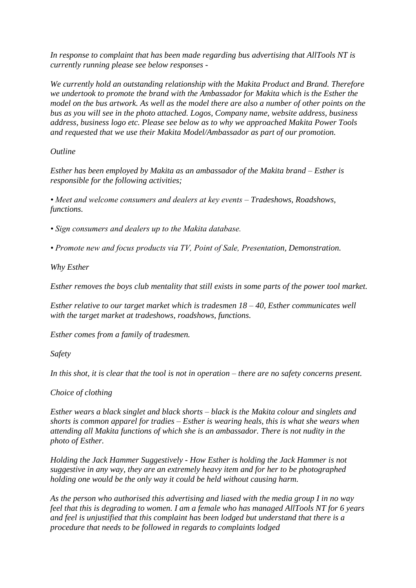*In response to complaint that has been made regarding bus advertising that AllTools NT is currently running please see below responses -*

*We currently hold an outstanding relationship with the Makita Product and Brand. Therefore we undertook to promote the brand with the Ambassador for Makita which is the Esther the model on the bus artwork. As well as the model there are also a number of other points on the bus as you will see in the photo attached. Logos, Company name, website address, business address, business logo etc. Please see below as to why we approached Makita Power Tools and requested that we use their Makita Model/Ambassador as part of our promotion.*

## *Outline*

*Esther has been employed by Makita as an ambassador of the Makita brand – Esther is responsible for the following activities;*

*• Meet and welcome consumers and dealers at key events – Tradeshows, Roadshows, functions.*

*• Sign consumers and dealers up to the Makita database.*

*• Promote new and focus products via TV, Point of Sale, Presentation, Demonstration.*

*Why Esther*

*Esther removes the boys club mentality that still exists in some parts of the power tool market.*

*Esther relative to our target market which is tradesmen 18 – 40, Esther communicates well with the target market at tradeshows, roadshows, functions.*

*Esther comes from a family of tradesmen.*

*Safety*

*In this shot, it is clear that the tool is not in operation – there are no safety concerns present.*

*Choice of clothing*

*Esther wears a black singlet and black shorts – black is the Makita colour and singlets and shorts is common apparel for tradies – Esther is wearing heals, this is what she wears when attending all Makita functions of which she is an ambassador. There is not nudity in the photo of Esther.*

*Holding the Jack Hammer Suggestively - How Esther is holding the Jack Hammer is not suggestive in any way, they are an extremely heavy item and for her to be photographed holding one would be the only way it could be held without causing harm.*

*As the person who authorised this advertising and liased with the media group I in no way feel that this is degrading to women. I am a female who has managed AllTools NT for 6 years and feel is unjustified that this complaint has been lodged but understand that there is a procedure that needs to be followed in regards to complaints lodged*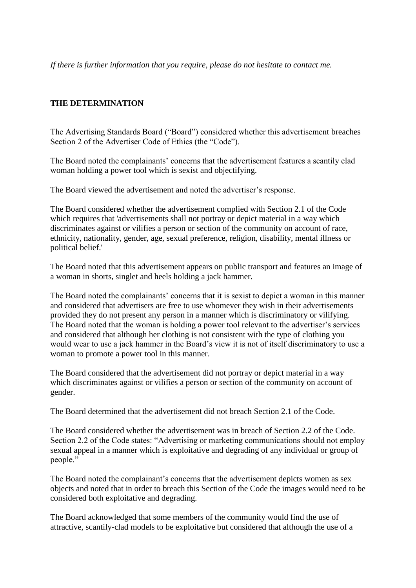*If there is further information that you require, please do not hesitate to contact me.*

### **THE DETERMINATION**

The Advertising Standards Board ("Board") considered whether this advertisement breaches Section 2 of the Advertiser Code of Ethics (the "Code").

The Board noted the complainants' concerns that the advertisement features a scantily clad woman holding a power tool which is sexist and objectifying.

The Board viewed the advertisement and noted the advertiser's response.

The Board considered whether the advertisement complied with Section 2.1 of the Code which requires that 'advertisements shall not portray or depict material in a way which discriminates against or vilifies a person or section of the community on account of race, ethnicity, nationality, gender, age, sexual preference, religion, disability, mental illness or political belief.'

The Board noted that this advertisement appears on public transport and features an image of a woman in shorts, singlet and heels holding a jack hammer.

The Board noted the complainants' concerns that it is sexist to depict a woman in this manner and considered that advertisers are free to use whomever they wish in their advertisements provided they do not present any person in a manner which is discriminatory or vilifying. The Board noted that the woman is holding a power tool relevant to the advertiser's services and considered that although her clothing is not consistent with the type of clothing you would wear to use a jack hammer in the Board's view it is not of itself discriminatory to use a woman to promote a power tool in this manner.

The Board considered that the advertisement did not portray or depict material in a way which discriminates against or vilifies a person or section of the community on account of gender.

The Board determined that the advertisement did not breach Section 2.1 of the Code.

The Board considered whether the advertisement was in breach of Section 2.2 of the Code. Section 2.2 of the Code states: "Advertising or marketing communications should not employ sexual appeal in a manner which is exploitative and degrading of any individual or group of people."

The Board noted the complainant's concerns that the advertisement depicts women as sex objects and noted that in order to breach this Section of the Code the images would need to be considered both exploitative and degrading.

The Board acknowledged that some members of the community would find the use of attractive, scantily-clad models to be exploitative but considered that although the use of a